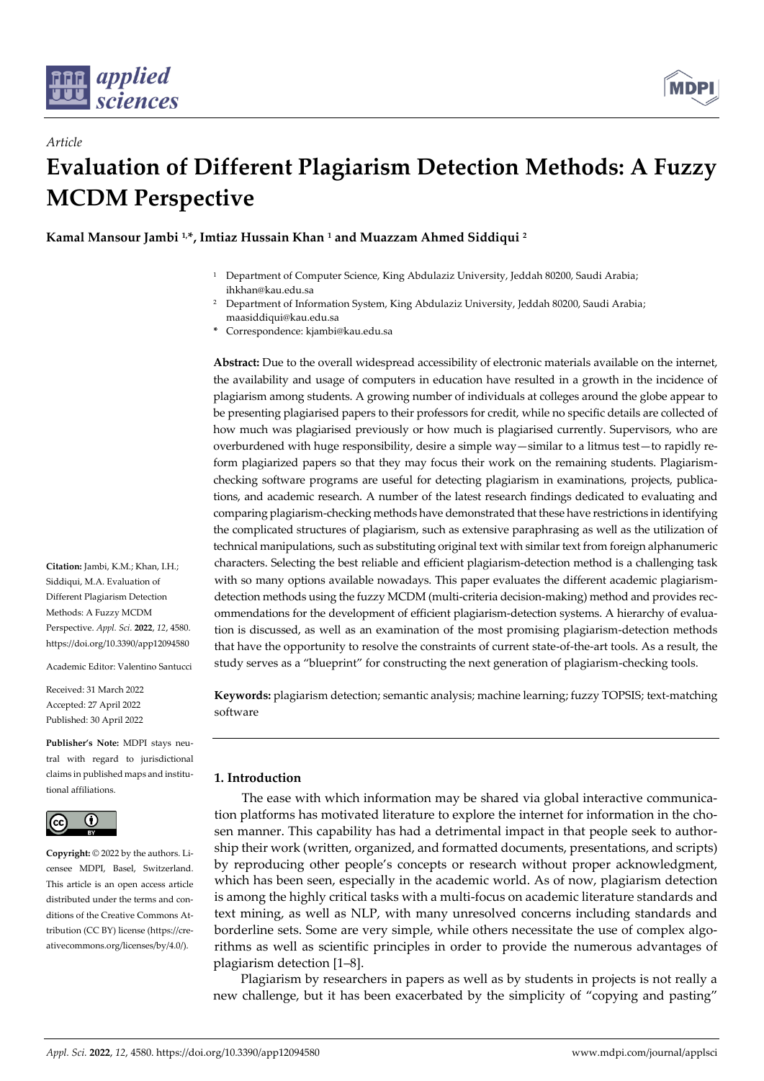

*Article*



# **Evaluation of Different Plagiarism Detection Methods: A Fuzzy MCDM Perspective**

**Kamal Mansour Jambi 1,\*, Imtiaz Hussain Khan <sup>1</sup> and Muazzam Ahmed Siddiqui <sup>2</sup>**

- <sup>1</sup> Department of Computer Science, King Abdulaziz University, Jeddah 80200, Saudi Arabia; ihkhan@kau.edu.sa
- <sup>2</sup> Department of Information System, King Abdulaziz University, Jeddah 80200, Saudi Arabia; maasiddiqui@kau.edu.sa
- **\*** Correspondence: kjambi@kau.edu.sa

**Abstract:** Due to the overall widespread accessibility of electronic materials available on the internet, the availability and usage of computers in education have resulted in a growth in the incidence of plagiarism among students. A growing number of individuals at colleges around the globe appear to be presenting plagiarised papers to their professors for credit, while no specific details are collected of how much was plagiarised previously or how much is plagiarised currently. Supervisors, who are overburdened with huge responsibility, desire a simple way—similar to a litmus test—to rapidly reform plagiarized papers so that they may focus their work on the remaining students. Plagiarismchecking software programs are useful for detecting plagiarism in examinations, projects, publications, and academic research. A number of the latest research findings dedicated to evaluating and comparing plagiarism-checking methods have demonstrated that these have restrictions in identifying the complicated structures of plagiarism, such as extensive paraphrasing as well as the utilization of technical manipulations, such as substituting original text with similar text from foreign alphanumeric characters. Selecting the best reliable and efficient plagiarism-detection method is a challenging task with so many options available nowadays. This paper evaluates the different academic plagiarismdetection methods using the fuzzy MCDM (multi-criteria decision-making) method and provides recommendations for the development of efficient plagiarism-detection systems. A hierarchy of evaluation is discussed, as well as an examination of the most promising plagiarism-detection methods that have the opportunity to resolve the constraints of current state-of-the-art tools. As a result, the study serves as a "blueprint" for constructing the next generation of plagiarism-checking tools.

**Keywords:** plagiarism detection; semantic analysis; machine learning; fuzzy TOPSIS; text-matching software

# **1. Introduction**

The ease with which information may be shared via global interactive communication platforms has motivated literature to explore the internet for information in the chosen manner. This capability has had a detrimental impact in that people seek to authorship their work (written, organized, and formatted documents, presentations, and scripts) by reproducing other people's concepts or research without proper acknowledgment, which has been seen, especially in the academic world. As of now, plagiarism detection is among the highly critical tasks with a multi-focus on academic literature standards and text mining, as well as NLP, with many unresolved concerns including standards and borderline sets. Some are very simple, while others necessitate the use of complex algorithms as well as scientific principles in order to provide the numerous advantages of plagiarism detection [1–8].

Plagiarism by researchers in papers as well as by students in projects is not really a new challenge, but it has been exacerbated by the simplicity of "copying and pasting"

**Citation:** Jambi, K.M.; Khan, I.H.; Siddiqui, M.A. Evaluation of Different Plagiarism Detection Methods: A Fuzzy MCDM Perspective. *Appl. Sci.* **2022**, *12*, 4580. https://doi.org/10.3390/app12094580

Academic Editor: Valentino Santucci

Received: 31 March 2022 Accepted: 27 April 2022 Published: 30 April 2022

**Publisher's Note:** MDPI stays neutral with regard to jurisdictional claims in published maps and institutional affiliations.



**Copyright:** © 2022 by the authors. Licensee MDPI, Basel, Switzerland. This article is an open access article distributed under the terms and conditions of the Creative Commons Attribution (CC BY) license (https://creativecommons.org/licenses/by/4.0/).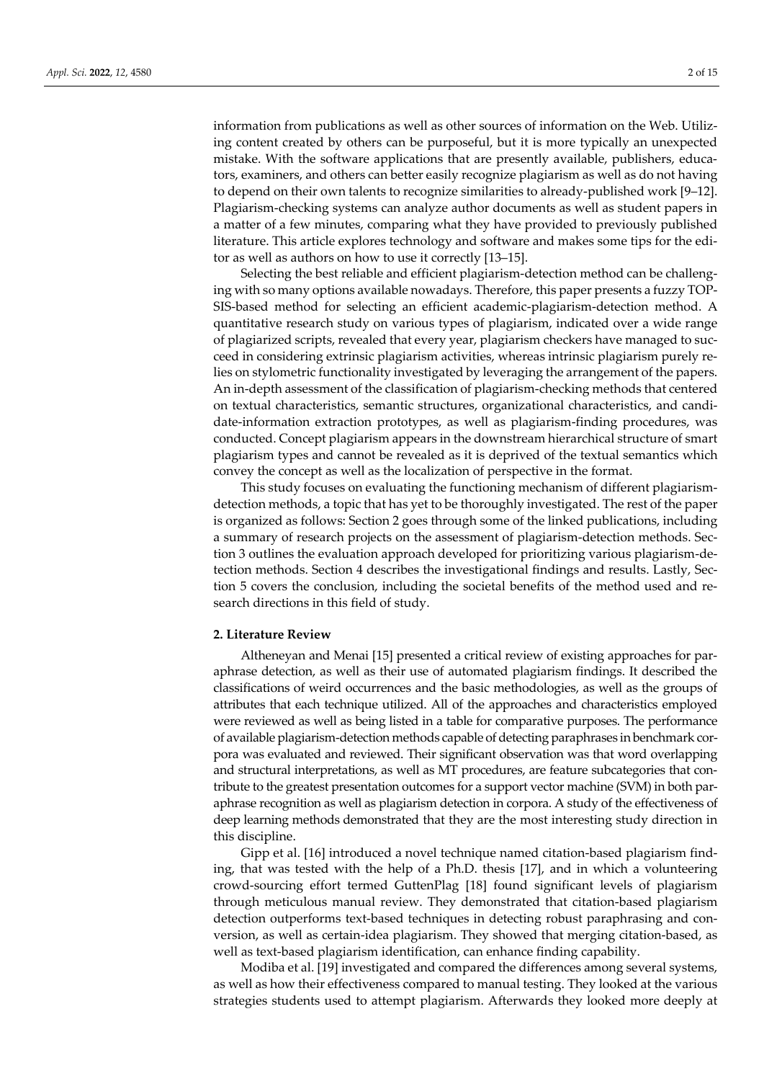information from publications as well as other sources of information on the Web. Utilizing content created by others can be purposeful, but it is more typically an unexpected mistake. With the software applications that are presently available, publishers, educators, examiners, and others can better easily recognize plagiarism as well as do not having to depend on their own talents to recognize similarities to already-published work [9–12]. Plagiarism-checking systems can analyze author documents as well as student papers in a matter of a few minutes, comparing what they have provided to previously published literature. This article explores technology and software and makes some tips for the editor as well as authors on how to use it correctly [13–15].

Selecting the best reliable and efficient plagiarism-detection method can be challenging with so many options available nowadays. Therefore, this paper presents a fuzzy TOP-SIS-based method for selecting an efficient academic-plagiarism-detection method. A quantitative research study on various types of plagiarism, indicated over a wide range of plagiarized scripts, revealed that every year, plagiarism checkers have managed to succeed in considering extrinsic plagiarism activities, whereas intrinsic plagiarism purely relies on stylometric functionality investigated by leveraging the arrangement of the papers. An in-depth assessment of the classification of plagiarism-checking methods that centered on textual characteristics, semantic structures, organizational characteristics, and candidate-information extraction prototypes, as well as plagiarism-finding procedures, was conducted. Concept plagiarism appears in the downstream hierarchical structure of smart plagiarism types and cannot be revealed as it is deprived of the textual semantics which convey the concept as well as the localization of perspective in the format.

This study focuses on evaluating the functioning mechanism of different plagiarismdetection methods, a topic that has yet to be thoroughly investigated. The rest of the paper is organized as follows: Section 2 goes through some of the linked publications, including a summary of research projects on the assessment of plagiarism-detection methods. Section 3 outlines the evaluation approach developed for prioritizing various plagiarism-detection methods. Section 4 describes the investigational findings and results. Lastly, Section 5 covers the conclusion, including the societal benefits of the method used and research directions in this field of study.

## **2. Literature Review**

Altheneyan and Menai [15] presented a critical review of existing approaches for paraphrase detection, as well as their use of automated plagiarism findings. It described the classifications of weird occurrences and the basic methodologies, as well as the groups of attributes that each technique utilized. All of the approaches and characteristics employed were reviewed as well as being listed in a table for comparative purposes. The performance of available plagiarism-detection methods capable of detecting paraphrases in benchmark corpora was evaluated and reviewed. Their significant observation was that word overlapping and structural interpretations, as well as MT procedures, are feature subcategories that contribute to the greatest presentation outcomes for a support vector machine (SVM) in both paraphrase recognition as well as plagiarism detection in corpora. A study of the effectiveness of deep learning methods demonstrated that they are the most interesting study direction in this discipline.

Gipp et al. [16] introduced a novel technique named citation-based plagiarism finding, that was tested with the help of a Ph.D. thesis [17], and in which a volunteering crowd-sourcing effort termed GuttenPlag [18] found significant levels of plagiarism through meticulous manual review. They demonstrated that citation-based plagiarism detection outperforms text-based techniques in detecting robust paraphrasing and conversion, as well as certain-idea plagiarism. They showed that merging citation-based, as well as text-based plagiarism identification, can enhance finding capability.

Modiba et al. [19] investigated and compared the differences among several systems, as well as how their effectiveness compared to manual testing. They looked at the various strategies students used to attempt plagiarism. Afterwards they looked more deeply at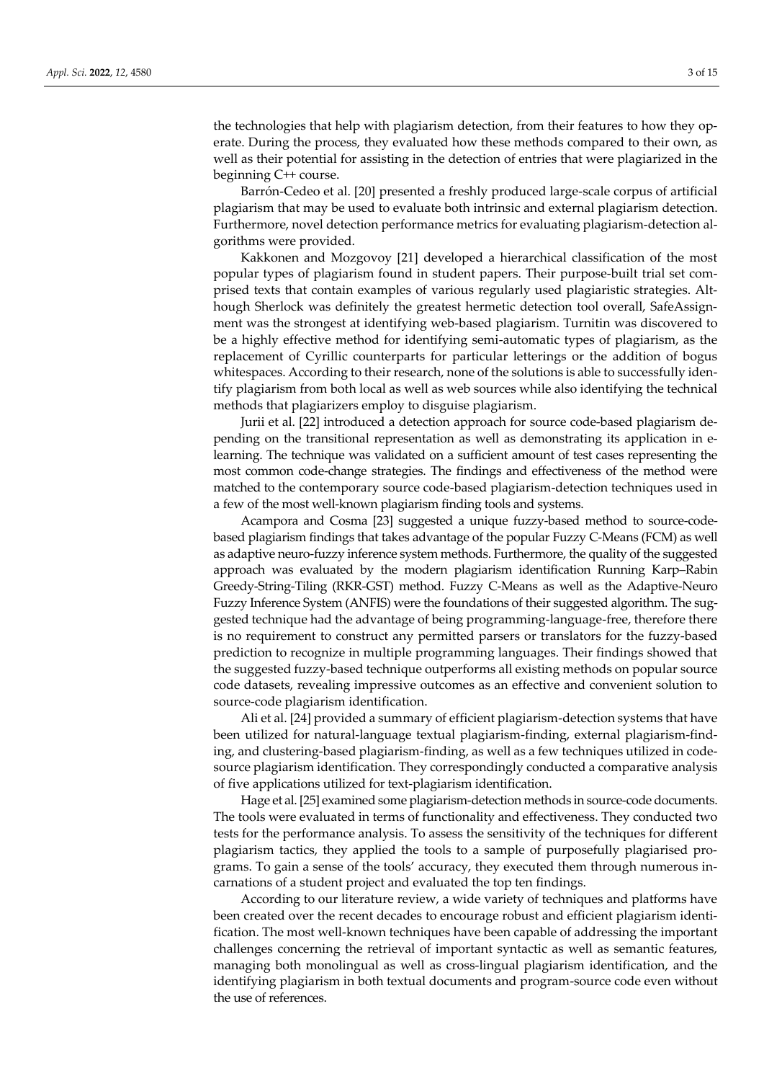the technologies that help with plagiarism detection, from their features to how they operate. During the process, they evaluated how these methods compared to their own, as well as their potential for assisting in the detection of entries that were plagiarized in the beginning C++ course.

Barrón-Cedeo et al. [20] presented a freshly produced large-scale corpus of artificial plagiarism that may be used to evaluate both intrinsic and external plagiarism detection. Furthermore, novel detection performance metrics for evaluating plagiarism-detection algorithms were provided.

Kakkonen and Mozgovoy [21] developed a hierarchical classification of the most popular types of plagiarism found in student papers. Their purpose-built trial set comprised texts that contain examples of various regularly used plagiaristic strategies. Although Sherlock was definitely the greatest hermetic detection tool overall, SafeAssignment was the strongest at identifying web-based plagiarism. Turnitin was discovered to be a highly effective method for identifying semi-automatic types of plagiarism, as the replacement of Cyrillic counterparts for particular letterings or the addition of bogus whitespaces. According to their research, none of the solutions is able to successfully identify plagiarism from both local as well as web sources while also identifying the technical methods that plagiarizers employ to disguise plagiarism.

Jurii et al. [22] introduced a detection approach for source code-based plagiarism depending on the transitional representation as well as demonstrating its application in elearning. The technique was validated on a sufficient amount of test cases representing the most common code-change strategies. The findings and effectiveness of the method were matched to the contemporary source code-based plagiarism-detection techniques used in a few of the most well-known plagiarism finding tools and systems.

Acampora and Cosma [23] suggested a unique fuzzy-based method to source-codebased plagiarism findings that takes advantage of the popular Fuzzy C-Means (FCM) as well as adaptive neuro-fuzzy inference system methods. Furthermore, the quality of the suggested approach was evaluated by the modern plagiarism identification Running Karp–Rabin Greedy-String-Tiling (RKR-GST) method. Fuzzy C-Means as well as the Adaptive-Neuro Fuzzy Inference System (ANFIS) were the foundations of their suggested algorithm. The suggested technique had the advantage of being programming-language-free, therefore there is no requirement to construct any permitted parsers or translators for the fuzzy-based prediction to recognize in multiple programming languages. Their findings showed that the suggested fuzzy-based technique outperforms all existing methods on popular source code datasets, revealing impressive outcomes as an effective and convenient solution to source-code plagiarism identification.

Ali et al. [24] provided a summary of efficient plagiarism-detection systems that have been utilized for natural-language textual plagiarism-finding, external plagiarism-finding, and clustering-based plagiarism-finding, as well as a few techniques utilized in codesource plagiarism identification. They correspondingly conducted a comparative analysis of five applications utilized for text-plagiarism identification.

Hage et al. [25] examined some plagiarism-detection methods in source-code documents. The tools were evaluated in terms of functionality and effectiveness. They conducted two tests for the performance analysis. To assess the sensitivity of the techniques for different plagiarism tactics, they applied the tools to a sample of purposefully plagiarised programs. To gain a sense of the tools' accuracy, they executed them through numerous incarnations of a student project and evaluated the top ten findings.

According to our literature review, a wide variety of techniques and platforms have been created over the recent decades to encourage robust and efficient plagiarism identification. The most well-known techniques have been capable of addressing the important challenges concerning the retrieval of important syntactic as well as semantic features, managing both monolingual as well as cross-lingual plagiarism identification, and the identifying plagiarism in both textual documents and program-source code even without the use of references.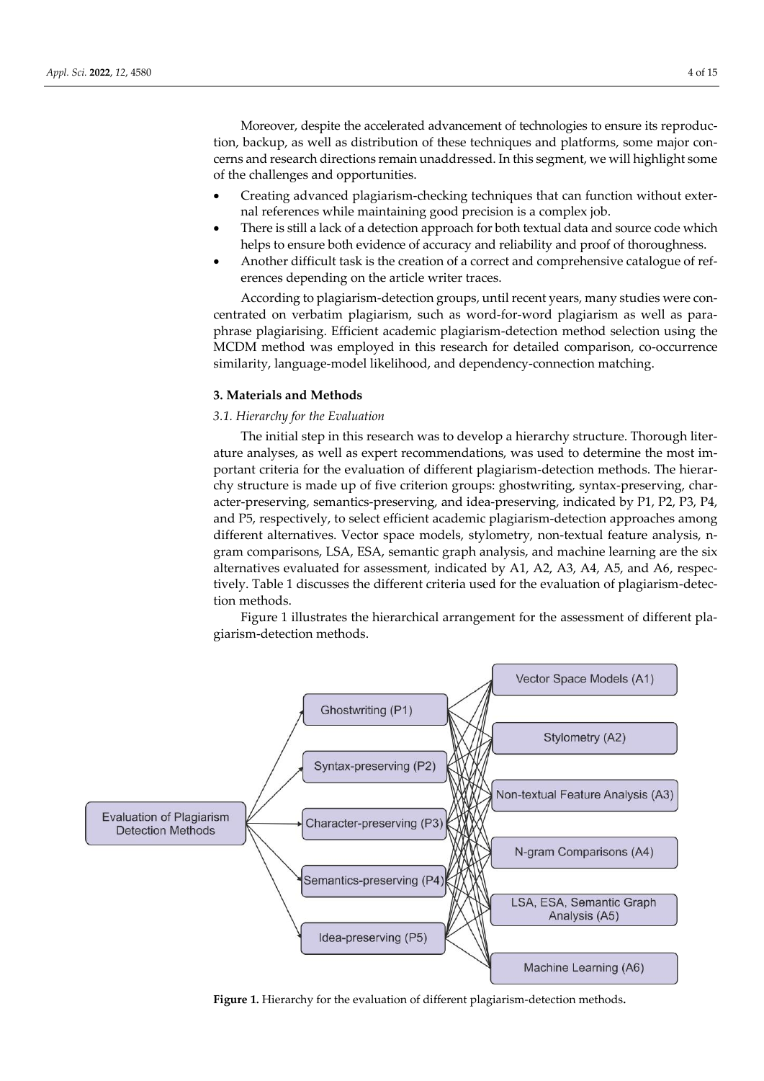Moreover, despite the accelerated advancement of technologies to ensure its reproduction, backup, as well as distribution of these techniques and platforms, some major concerns and research directions remain unaddressed. In this segment, we will highlight some of the challenges and opportunities.

- Creating advanced plagiarism-checking techniques that can function without external references while maintaining good precision is a complex job.
- There is still a lack of a detection approach for both textual data and source code which helps to ensure both evidence of accuracy and reliability and proof of thoroughness.
- Another difficult task is the creation of a correct and comprehensive catalogue of references depending on the article writer traces.

According to plagiarism-detection groups, until recent years, many studies were concentrated on verbatim plagiarism, such as word-for-word plagiarism as well as paraphrase plagiarising. Efficient academic plagiarism-detection method selection using the MCDM method was employed in this research for detailed comparison, co-occurrence similarity, language-model likelihood, and dependency-connection matching.

## **3. Materials and Methods**

# *3.1. Hierarchy for the Evaluation*

The initial step in this research was to develop a hierarchy structure. Thorough literature analyses, as well as expert recommendations, was used to determine the most important criteria for the evaluation of different plagiarism-detection methods. The hierarchy structure is made up of five criterion groups: ghostwriting, syntax-preserving, character-preserving, semantics-preserving, and idea-preserving, indicated by P1, P2, P3, P4, and P5, respectively, to select efficient academic plagiarism-detection approaches among different alternatives. Vector space models, stylometry, non-textual feature analysis, ngram comparisons, LSA, ESA, semantic graph analysis, and machine learning are the six alternatives evaluated for assessment, indicated by A1, A2, A3, A4, A5, and A6, respectively. Table 1 discusses the different criteria used for the evaluation of plagiarism-detection methods.

Figure 1 illustrates the hierarchical arrangement for the assessment of different plagiarism-detection methods.



**Figure 1.** Hierarchy for the evaluation of different plagiarism-detection methods**.**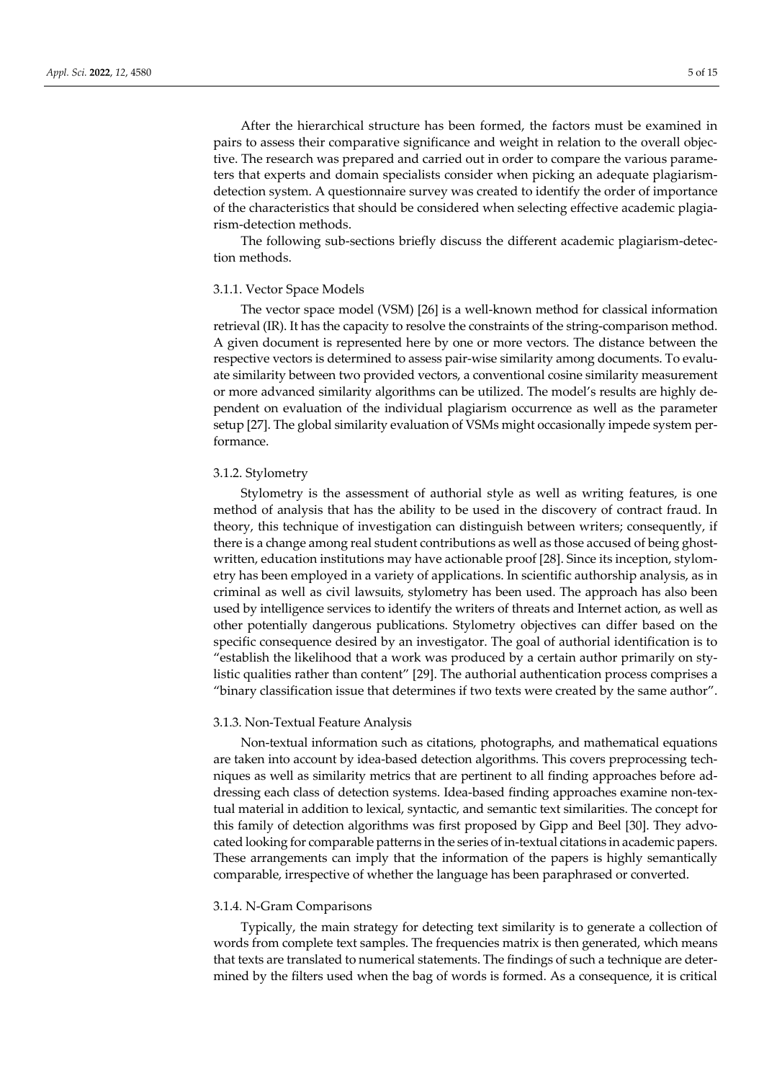After the hierarchical structure has been formed, the factors must be examined in pairs to assess their comparative significance and weight in relation to the overall objective. The research was prepared and carried out in order to compare the various parameters that experts and domain specialists consider when picking an adequate plagiarismdetection system. A questionnaire survey was created to identify the order of importance of the characteristics that should be considered when selecting effective academic plagiarism-detection methods.

The following sub-sections briefly discuss the different academic plagiarism-detection methods.

# 3.1.1. Vector Space Models

The vector space model (VSM) [26] is a well-known method for classical information retrieval (IR). It has the capacity to resolve the constraints of the string-comparison method. A given document is represented here by one or more vectors. The distance between the respective vectors is determined to assess pair-wise similarity among documents. To evaluate similarity between two provided vectors, a conventional cosine similarity measurement or more advanced similarity algorithms can be utilized. The model's results are highly dependent on evaluation of the individual plagiarism occurrence as well as the parameter setup [27]. The global similarity evaluation of VSMs might occasionally impede system performance.

## 3.1.2. Stylometry

Stylometry is the assessment of authorial style as well as writing features, is one method of analysis that has the ability to be used in the discovery of contract fraud. In theory, this technique of investigation can distinguish between writers; consequently, if there is a change among real student contributions as well as those accused of being ghostwritten, education institutions may have actionable proof [28]. Since its inception, stylometry has been employed in a variety of applications. In scientific authorship analysis, as in criminal as well as civil lawsuits, stylometry has been used. The approach has also been used by intelligence services to identify the writers of threats and Internet action, as well as other potentially dangerous publications. Stylometry objectives can differ based on the specific consequence desired by an investigator. The goal of authorial identification is to "establish the likelihood that a work was produced by a certain author primarily on stylistic qualities rather than content" [29]. The authorial authentication process comprises a "binary classification issue that determines if two texts were created by the same author".

#### 3.1.3. Non-Textual Feature Analysis

Non-textual information such as citations, photographs, and mathematical equations are taken into account by idea-based detection algorithms. This covers preprocessing techniques as well as similarity metrics that are pertinent to all finding approaches before addressing each class of detection systems. Idea-based finding approaches examine non-textual material in addition to lexical, syntactic, and semantic text similarities. The concept for this family of detection algorithms was first proposed by Gipp and Beel [30]. They advocated looking for comparable patterns in the series of in-textual citations in academic papers. These arrangements can imply that the information of the papers is highly semantically comparable, irrespective of whether the language has been paraphrased or converted.

#### 3.1.4. N-Gram Comparisons

Typically, the main strategy for detecting text similarity is to generate a collection of words from complete text samples. The frequencies matrix is then generated, which means that texts are translated to numerical statements. The findings of such a technique are determined by the filters used when the bag of words is formed. As a consequence, it is critical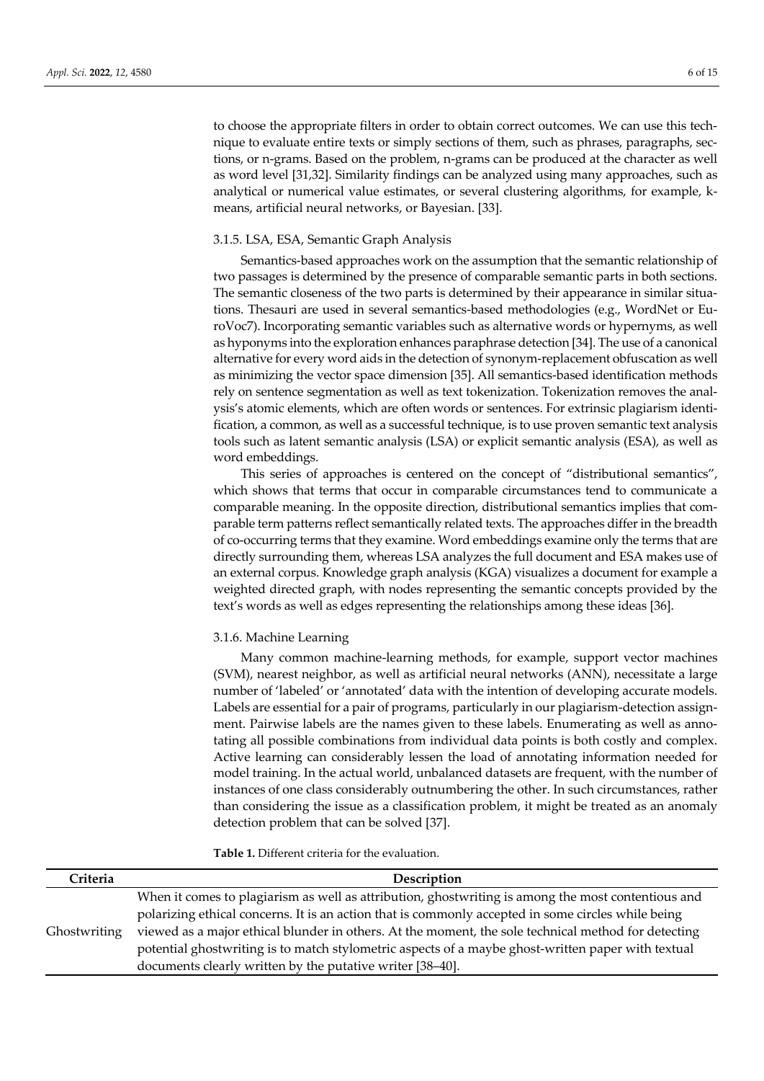to choose the appropriate filters in order to obtain correct outcomes. We can use this technique to evaluate entire texts or simply sections of them, such as phrases, paragraphs, sections, or n-grams. Based on the problem, n-grams can be produced at the character as well as word level [31,32]. Similarity findings can be analyzed using many approaches, such as analytical or numerical value estimates, or several clustering algorithms, for example, kmeans, artificial neural networks, or Bayesian. [33].

## 3.1.5. LSA, ESA, Semantic Graph Analysis

Semantics-based approaches work on the assumption that the semantic relationship of two passages is determined by the presence of comparable semantic parts in both sections. The semantic closeness of the two parts is determined by their appearance in similar situations. Thesauri are used in several semantics-based methodologies (e.g., WordNet or EuroVoc7). Incorporating semantic variables such as alternative words or hypernyms, as well as hyponyms into the exploration enhances paraphrase detection [34]. The use of a canonical alternative for every word aids in the detection of synonym-replacement obfuscation as well as minimizing the vector space dimension [35]. All semantics-based identification methods rely on sentence segmentation as well as text tokenization. Tokenization removes the analysis's atomic elements, which are often words or sentences. For extrinsic plagiarism identification, a common, as well as a successful technique, is to use proven semantic text analysis tools such as latent semantic analysis (LSA) or explicit semantic analysis (ESA), as well as word embeddings.

This series of approaches is centered on the concept of "distributional semantics", which shows that terms that occur in comparable circumstances tend to communicate a comparable meaning. In the opposite direction, distributional semantics implies that comparable term patterns reflect semantically related texts. The approaches differ in the breadth of co-occurring terms that they examine. Word embeddings examine only the terms that are directly surrounding them, whereas LSA analyzes the full document and ESA makes use of an external corpus. Knowledge graph analysis (KGA) visualizes a document for example a weighted directed graph, with nodes representing the semantic concepts provided by the text's words as well as edges representing the relationships among these ideas [36].

## 3.1.6. Machine Learning

Many common machine-learning methods, for example, support vector machines (SVM), nearest neighbor, as well as artificial neural networks (ANN), necessitate a large number of 'labeled' or 'annotated' data with the intention of developing accurate models. Labels are essential for a pair of programs, particularly in our plagiarism-detection assignment. Pairwise labels are the names given to these labels. Enumerating as well as annotating all possible combinations from individual data points is both costly and complex. Active learning can considerably lessen the load of annotating information needed for model training. In the actual world, unbalanced datasets are frequent, with the number of instances of one class considerably outnumbering the other. In such circumstances, rather than considering the issue as a classification problem, it might be treated as an anomaly detection problem that can be solved [37].

**Table 1.** Different criteria for the evaluation.

| Criteria     | Description                                                                                         |
|--------------|-----------------------------------------------------------------------------------------------------|
|              | When it comes to plagiarism as well as attribution, ghostwriting is among the most contentious and  |
| Ghostwriting | polarizing ethical concerns. It is an action that is commonly accepted in some circles while being  |
|              | viewed as a major ethical blunder in others. At the moment, the sole technical method for detecting |
|              | potential ghostwriting is to match stylometric aspects of a maybe ghost-written paper with textual  |
|              | documents clearly written by the putative writer [38-40].                                           |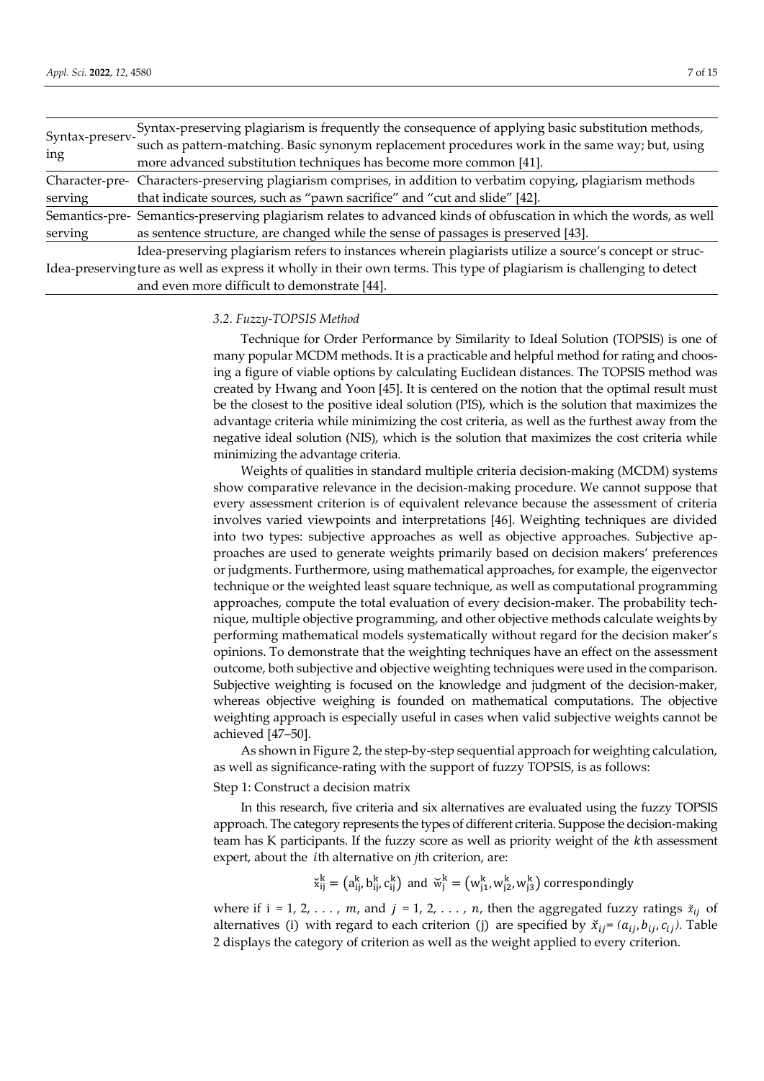|                                                                                      | Syntax-preserving plagiarism is frequently the consequence of applying basic substitution methods,                     |  |  |
|--------------------------------------------------------------------------------------|------------------------------------------------------------------------------------------------------------------------|--|--|
| Syntax-preserv-                                                                      | such as pattern-matching. Basic synonym replacement procedures work in the same way; but, using                        |  |  |
| ing                                                                                  | more advanced substitution techniques has become more common [41].                                                     |  |  |
|                                                                                      | Character-pre- Characters-preserving plagiarism comprises, in addition to verbatim copying, plagiarism methods         |  |  |
| that indicate sources, such as "pawn sacrifice" and "cut and slide" [42].<br>serving |                                                                                                                        |  |  |
|                                                                                      | Semantics-pre- Semantics-preserving plagiarism relates to advanced kinds of obfuscation in which the words, as well    |  |  |
| serving                                                                              | as sentence structure, are changed while the sense of passages is preserved [43].                                      |  |  |
|                                                                                      | Idea-preserving plagiarism refers to instances wherein plagiarists utilize a source's concept or struc-                |  |  |
|                                                                                      | Idea-preserving ture as well as express it wholly in their own terms. This type of plagiarism is challenging to detect |  |  |
| and even more difficult to demonstrate [44].                                         |                                                                                                                        |  |  |

#### *3.2. Fuzzy-TOPSIS Method*

Technique for Order Performance by Similarity to Ideal Solution (TOPSIS) is one of many popular MCDM methods. It is a practicable and helpful method for rating and choosing a figure of viable options by calculating Euclidean distances. The TOPSIS method was created by Hwang and Yoon [45]. It is centered on the notion that the optimal result must be the closest to the positive ideal solution (PIS), which is the solution that maximizes the advantage criteria while minimizing the cost criteria, as well as the furthest away from the negative ideal solution (NIS), which is the solution that maximizes the cost criteria while minimizing the advantage criteria.

Weights of qualities in standard multiple criteria decision-making (MCDM) systems show comparative relevance in the decision-making procedure. We cannot suppose that every assessment criterion is of equivalent relevance because the assessment of criteria involves varied viewpoints and interpretations [46]. Weighting techniques are divided into two types: subjective approaches as well as objective approaches. Subjective approaches are used to generate weights primarily based on decision makers' preferences or judgments. Furthermore, using mathematical approaches, for example, the eigenvector technique or the weighted least square technique, as well as computational programming approaches, compute the total evaluation of every decision-maker. The probability technique, multiple objective programming, and other objective methods calculate weights by performing mathematical models systematically without regard for the decision maker's opinions. To demonstrate that the weighting techniques have an effect on the assessment outcome, both subjective and objective weighting techniques were used in the comparison. Subjective weighting is focused on the knowledge and judgment of the decision-maker, whereas objective weighing is founded on mathematical computations. The objective weighting approach is especially useful in cases when valid subjective weights cannot be achieved [47–50].

As shown in Figure 2, the step-by-step sequential approach for weighting calculation, as well as significance-rating with the support of fuzzy TOPSIS, is as follows:

Step 1: Construct a decision matrix

In this research, five criteria and six alternatives are evaluated using the fuzzy TOPSIS approach. The category represents the types of different criteria. Suppose the decision-making team has K participants. If the fuzzy score as well as priority weight of the  $k$ th assessment expert, about the *i*th alternative on *j*th criterion, are:

 $\breve{x}_{ij}^k = (a_{ij}^k, b_{ij}^k, c_{ij}^k)$  and  $\breve{w}_j^k = (w_{j1}^k, w_{j2}^k, w_{j3}^k)$  correspondingly

where if  $i = 1, 2, ..., m$ , and  $j = 1, 2, ..., n$ , then the aggregated fuzzy ratings  $\check{x}_{ij}$  of alternatives (i) with regard to each criterion (j) are specified by  $\check{x}_{ij} = (a_{ij}, b_{ij}, c_{ij})$ . Table 2 displays the category of criterion as well as the weight applied to every criterion.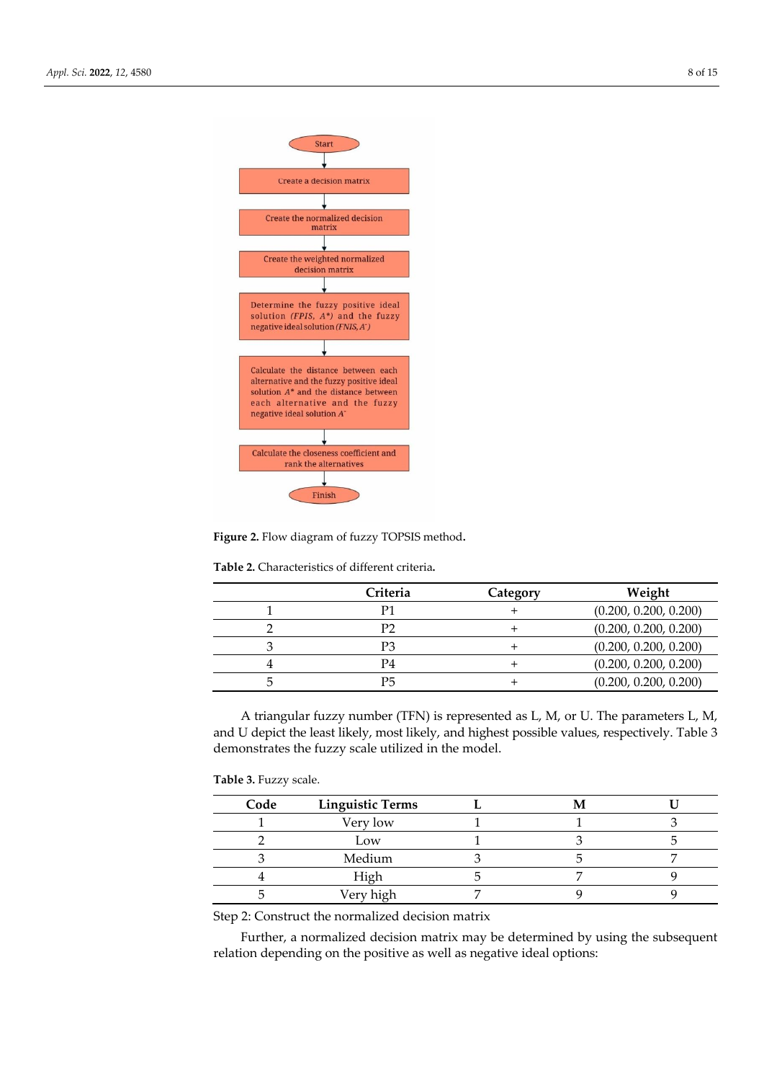

**Figure 2.** Flow diagram of fuzzy TOPSIS method**.**

**Table 2.** Characteristics of different criteria**.**

| Criteria | Category | Weight                |
|----------|----------|-----------------------|
| P1       |          | (0.200, 0.200, 0.200) |
| P2       |          | (0.200, 0.200, 0.200) |
| P3       |          | (0.200, 0.200, 0.200) |
| P4       |          | (0.200, 0.200, 0.200) |
| Р5       |          | (0.200, 0.200, 0.200) |

A triangular fuzzy number (TFN) is represented as L, M, or U. The parameters L, M, and U depict the least likely, most likely, and highest possible values, respectively. Table 3 demonstrates the fuzzy scale utilized in the model.

**Table 3.** Fuzzy scale.

| Code | <b>Linguistic Terms</b> |  |  |
|------|-------------------------|--|--|
|      | Very low                |  |  |
|      | Low                     |  |  |
|      | Medium                  |  |  |
|      | High                    |  |  |
|      | Very high               |  |  |

Step 2: Construct the normalized decision matrix

Further, a normalized decision matrix may be determined by using the subsequent relation depending on the positive as well as negative ideal options: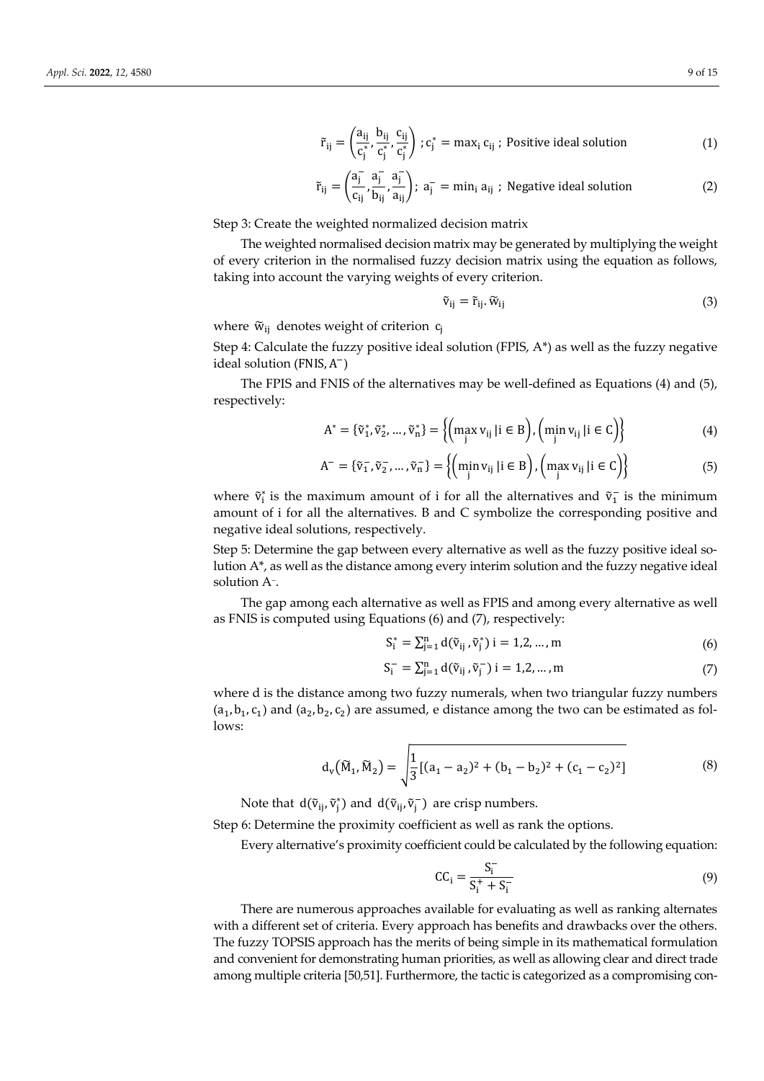$$
\tilde{r}_{ij} = \left(\frac{a_{ij}}{c_j^*}, \frac{b_{ij}}{c_j^*}, \frac{c_{ij}}{c_j^*}\right); c_j^* = \max_i c_{ij}; \text{ Positive ideal solution} \tag{1}
$$

$$
\tilde{r}_{ij} = \left(\frac{a_j^-}{c_{ij}}, \frac{a_j^-}{b_{ij}}, \frac{a_j^-}{a_{ij}}\right); a_j^- = \min_i a_{ij} ; \text{ Negative ideal solution} \tag{2}
$$

Step 3: Create the weighted normalized decision matrix

The weighted normalised decision matrix may be generated by multiplying the weight of every criterion in the normalised fuzzy decision matrix using the equation as follows, taking into account the varying weights of every criterion.

$$
\tilde{\mathbf{v}}_{ij} = \tilde{\mathbf{r}}_{ij} \cdot \tilde{\mathbf{w}}_{ij} \tag{3}
$$

where  $\widetilde{w}_{ij}$  denotes weight of criterion  $c_i$ 

Step 4: Calculate the fuzzy positive ideal solution (FPIS,  $A^*$ ) as well as the fuzzy negative ideal solution (FNIS, A<sup>-</sup>)

The FPIS and FNIS of the alternatives may be well-defined as Equations (4) and (5), respectively:

$$
A^* = {\tilde{v}_1^*, \tilde{v}_2^*, \dots, \tilde{v}_n^*} = \left\{ \left( \max_j v_{ij} \mid i \in B \right), \left( \min_j v_{ij} \mid i \in C \right) \right\}
$$
(4)

$$
A^{-} = \{\tilde{v}_{1}^{-}, \tilde{v}_{2}^{-}, ..., \tilde{v}_{n}^{-}\} = \left\{ \left(\min_{j} v_{ij} \mid i \in B\right), \left(\max_{j} v_{ij} \mid i \in C\right) \right\}
$$
(5)

where  $\tilde{v}_i^*$  is the maximum amount of i for all the alternatives and  $\tilde{v}_1^-$  is the minimum amount of i for all the alternatives. B and C symbolize the corresponding positive and negative ideal solutions, respectively.

Step 5: Determine the gap between every alternative as well as the fuzzy positive ideal solution A\*, as well as the distance among every interim solution and the fuzzy negative ideal solution A<sup>−</sup> .

The gap among each alternative as well as FPIS and among every alternative as well as FNIS is computed using Equations (6) and (7), respectively:

$$
S_i^* = \sum_{j=1}^n d(\tilde{v}_{ij}, \tilde{v}_j^*) \ i = 1, 2, ..., m \tag{6}
$$

$$
S_{i}^{-} = \sum_{j=1}^{n} d(\tilde{v}_{ij}, \tilde{v}_{j}^{-}) i = 1, 2, ..., m
$$
 (7)

where d is the distance among two fuzzy numerals, when two triangular fuzzy numbers  $(a_1, b_1, c_1)$  and  $(a_2, b_2, c_2)$  are assumed, e distance among the two can be estimated as follows:

$$
d_v(\widetilde{M}_1, \widetilde{M}_2) = \sqrt{\frac{1}{3} [(a_1 - a_2)^2 + (b_1 - b_2)^2 + (c_1 - c_2)^2]}
$$
(8)

Note that  $d(\tilde{v}_{ij}, \tilde{v}_j^*)$  and  $d(\tilde{v}_{ij}, \tilde{v}_j^-)$  are crisp numbers.

Step 6: Determine the proximity coefficient as well as rank the options.

Every alternative's proximity coefficient could be calculated by the following equation:

$$
CC_{i} = \frac{S_{i}^{-}}{S_{i}^{+} + S_{i}^{-}}
$$
\n(9)

There are numerous approaches available for evaluating as well as ranking alternates with a different set of criteria. Every approach has benefits and drawbacks over the others. The fuzzy TOPSIS approach has the merits of being simple in its mathematical formulation and convenient for demonstrating human priorities, as well as allowing clear and direct trade among multiple criteria [50,51]. Furthermore, the tactic is categorized as a compromising con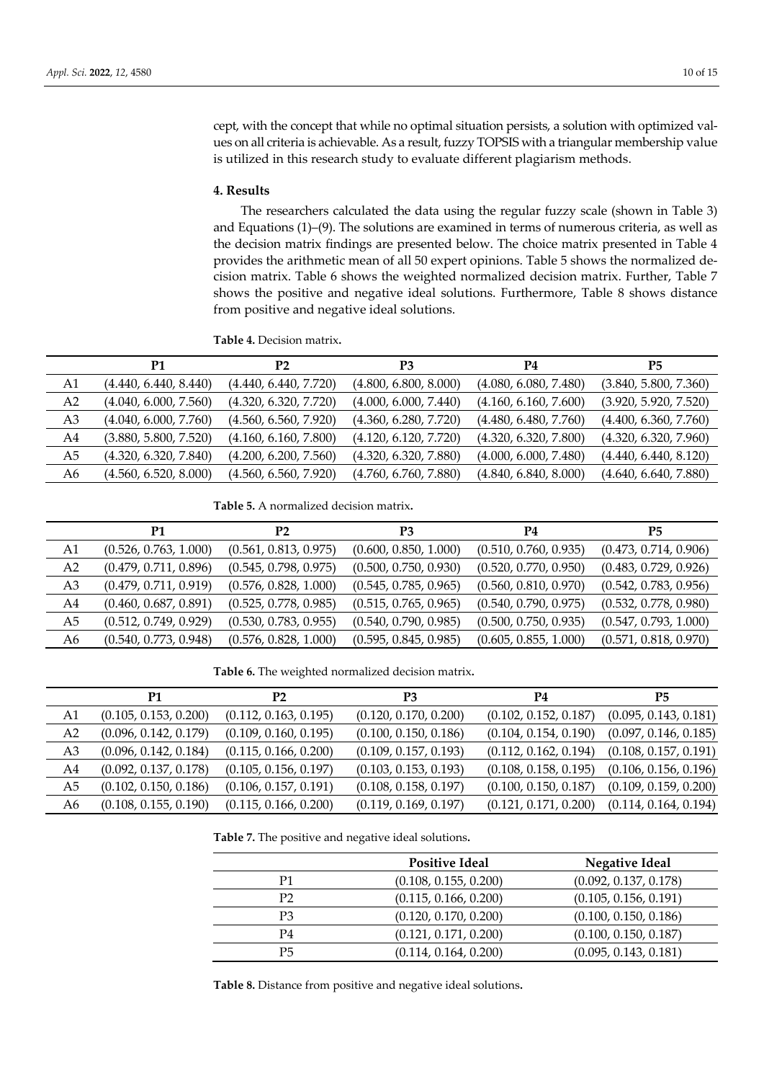cept, with the concept that while no optimal situation persists, a solution with optimized values on all criteria is achievable. As a result, fuzzy TOPSIS with a triangular membership value is utilized in this research study to evaluate different plagiarism methods.

#### **4. Results**

The researchers calculated the data using the regular fuzzy scale (shown in Table 3) and Equations (1)–(9). The solutions are examined in terms of numerous criteria, as well as the decision matrix findings are presented below. The choice matrix presented in Table 4 provides the arithmetic mean of all 50 expert opinions. Table 5 shows the normalized decision matrix. Table 6 shows the weighted normalized decision matrix. Further, Table 7 shows the positive and negative ideal solutions. Furthermore, Table 8 shows distance from positive and negative ideal solutions.

**Table 4.** Decision matrix**.**

|    | P1                    | P2                    | P3                    | Р4                    | P5                    |
|----|-----------------------|-----------------------|-----------------------|-----------------------|-----------------------|
| A1 | (4.440, 6.440, 8.440) | (4.440, 6.440, 7.720) | (4.800, 6.800, 8.000) | (4.080, 6.080, 7.480) | (3.840, 5.800, 7.360) |
| A2 | (4.040, 6.000, 7.560) | (4.320, 6.320, 7.720) | (4.000, 6.000, 7.440) | (4.160, 6.160, 7.600) | (3.920, 5.920, 7.520) |
| A3 | (4.040, 6.000, 7.760) | (4.560, 6.560, 7.920) | (4.360, 6.280, 7.720) | (4.480, 6.480, 7.760) | (4.400, 6.360, 7.760) |
| A4 | (3.880, 5.800, 7.520) | (4.160, 6.160, 7.800) | (4.120, 6.120, 7.720) | (4.320, 6.320, 7.800) | (4.320, 6.320, 7.960) |
| A5 | (4.320, 6.320, 7.840) | (4.200, 6.200, 7.560) | (4.320, 6.320, 7.880) | (4.000, 6.000, 7.480) | (4.440, 6.440, 8.120) |
| A6 | (4.560, 6.520, 8.000) | (4.560, 6.560, 7.920) | (4.760, 6.760, 7.880) | (4.840, 6.840, 8.000) | (4.640, 6.640, 7.880) |

**Table 5.** A normalized decision matrix**.**

|                | P1                    | P2                    | P3                    | P4                    | P5                    |
|----------------|-----------------------|-----------------------|-----------------------|-----------------------|-----------------------|
| A1             | (0.526, 0.763, 1.000) | (0.561, 0.813, 0.975) | (0.600, 0.850, 1.000) | (0.510, 0.760, 0.935) | (0.473, 0.714, 0.906) |
| A <sub>2</sub> | (0.479, 0.711, 0.896) | (0.545, 0.798, 0.975) | (0.500, 0.750, 0.930) | (0.520, 0.770, 0.950) | (0.483, 0.729, 0.926) |
| A3             | (0.479, 0.711, 0.919) | (0.576, 0.828, 1.000) | (0.545, 0.785, 0.965) | (0.560, 0.810, 0.970) | (0.542, 0.783, 0.956) |
| A4             | (0.460, 0.687, 0.891) | (0.525, 0.778, 0.985) | (0.515, 0.765, 0.965) | (0.540, 0.790, 0.975) | (0.532, 0.778, 0.980) |
| A5             | (0.512, 0.749, 0.929) | (0.530, 0.783, 0.955) | (0.540, 0.790, 0.985) | (0.500, 0.750, 0.935) | (0.547, 0.793, 1.000) |
| A6             | (0.540, 0.773, 0.948) | (0.576, 0.828, 1.000) | (0.595, 0.845, 0.985) | (0.605, 0.855, 1.000) | (0.571, 0.818, 0.970) |

**Table 6.** The weighted normalized decision matrix**.**

|                | P1                    | Р2                    | P3                    | <b>P4</b>             | <b>P5</b>             |
|----------------|-----------------------|-----------------------|-----------------------|-----------------------|-----------------------|
| A1             | (0.105, 0.153, 0.200) | (0.112, 0.163, 0.195) | (0.120, 0.170, 0.200) | (0.102, 0.152, 0.187) | (0.095, 0.143, 0.181) |
| A <sub>2</sub> | (0.096, 0.142, 0.179) | (0.109, 0.160, 0.195) | (0.100, 0.150, 0.186) | (0.104, 0.154, 0.190) | (0.097, 0.146, 0.185) |
| A3             | (0.096, 0.142, 0.184) | (0.115, 0.166, 0.200) | (0.109, 0.157, 0.193) | (0.112, 0.162, 0.194) | (0.108, 0.157, 0.191) |
| A4             | (0.092, 0.137, 0.178) | (0.105, 0.156, 0.197) | (0.103, 0.153, 0.193) | (0.108, 0.158, 0.195) | (0.106, 0.156, 0.196) |
| A5             | (0.102, 0.150, 0.186) | (0.106, 0.157, 0.191) | (0.108, 0.158, 0.197) | (0.100, 0.150, 0.187) | (0.109, 0.159, 0.200) |
| A6             | (0.108, 0.155, 0.190) | (0.115, 0.166, 0.200) | (0.119, 0.169, 0.197) | (0.121, 0.171, 0.200) | (0.114, 0.164, 0.194) |

**Table 7.** The positive and negative ideal solutions**.**

|                | <b>Positive Ideal</b> | <b>Negative Ideal</b> |
|----------------|-----------------------|-----------------------|
| P1             | (0.108, 0.155, 0.200) | (0.092, 0.137, 0.178) |
| P <sub>2</sub> | (0.115, 0.166, 0.200) | (0.105, 0.156, 0.191) |
| P <sub>3</sub> | (0.120, 0.170, 0.200) | (0.100, 0.150, 0.186) |
| P4             | (0.121, 0.171, 0.200) | (0.100, 0.150, 0.187) |
| P5             | (0.114, 0.164, 0.200) | (0.095, 0.143, 0.181) |

**Table 8.** Distance from positive and negative ideal solutions**.**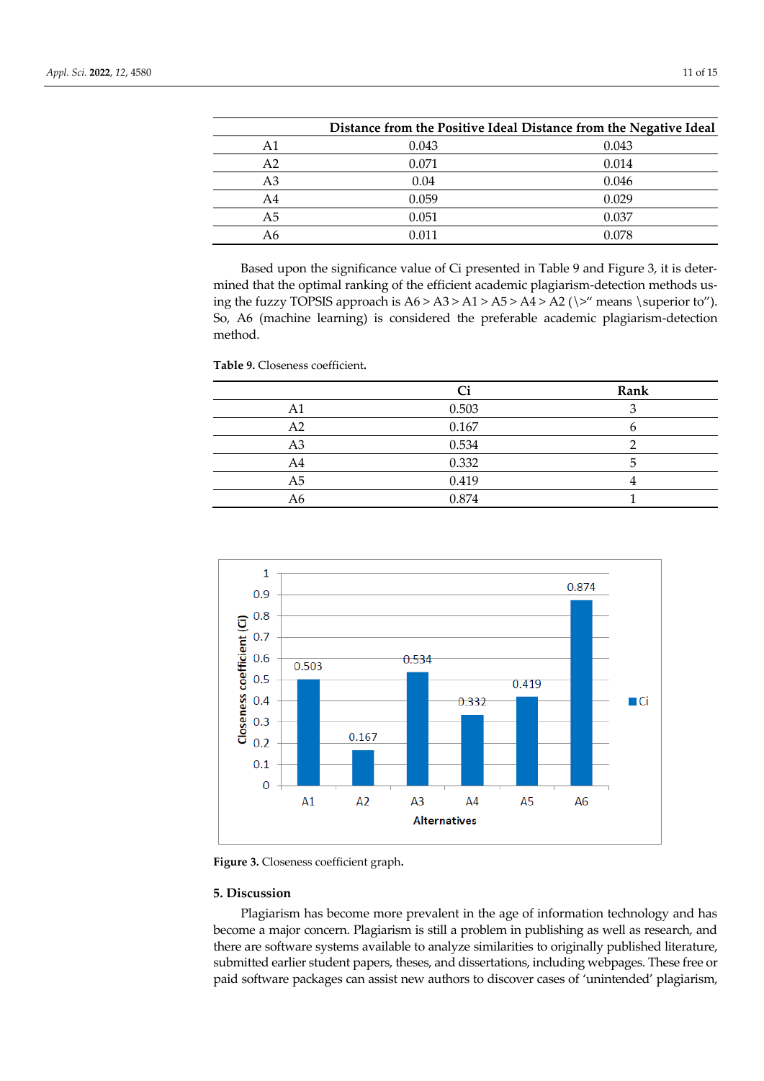|    |       | Distance from the Positive Ideal Distance from the Negative Ideal |
|----|-------|-------------------------------------------------------------------|
| A1 | 0.043 | 0.043                                                             |
| A2 | 0.071 | 0.014                                                             |
| A3 | 0.04  | 0.046                                                             |
| A4 | 0.059 | 0.029                                                             |
| A5 | 0.051 | 0.037                                                             |
| Α6 | 0.011 | 0.078                                                             |

Based upon the significance value of Ci presented in Table 9 and Figure 3, it is determined that the optimal ranking of the efficient academic plagiarism-detection methods using the fuzzy TOPSIS approach is  $A6 > A3 > A1 > A5 > A4 > A2$  ( $\degree$ " means  $\subseteq$ "). So, A6 (machine learning) is considered the preferable academic plagiarism-detection method.

|                | Ci    | <b>Rank</b> |
|----------------|-------|-------------|
| A1             | 0.503 |             |
| A2             | 0.167 |             |
| A3             | 0.534 | ◠           |
| A4             | 0.332 |             |
| A <sub>5</sub> | 0.419 |             |
| A6             | 0.874 |             |
|                |       |             |





**Figure 3.** Closeness coefficient graph**.**

**Table 9.** Closeness coefficient**.**

# **5. Discussion**

Plagiarism has become more prevalent in the age of information technology and has become a major concern. Plagiarism is still a problem in publishing as well as research, and there are software systems available to analyze similarities to originally published literature, submitted earlier student papers, theses, and dissertations, including webpages. These free or paid software packages can assist new authors to discover cases of 'unintended' plagiarism,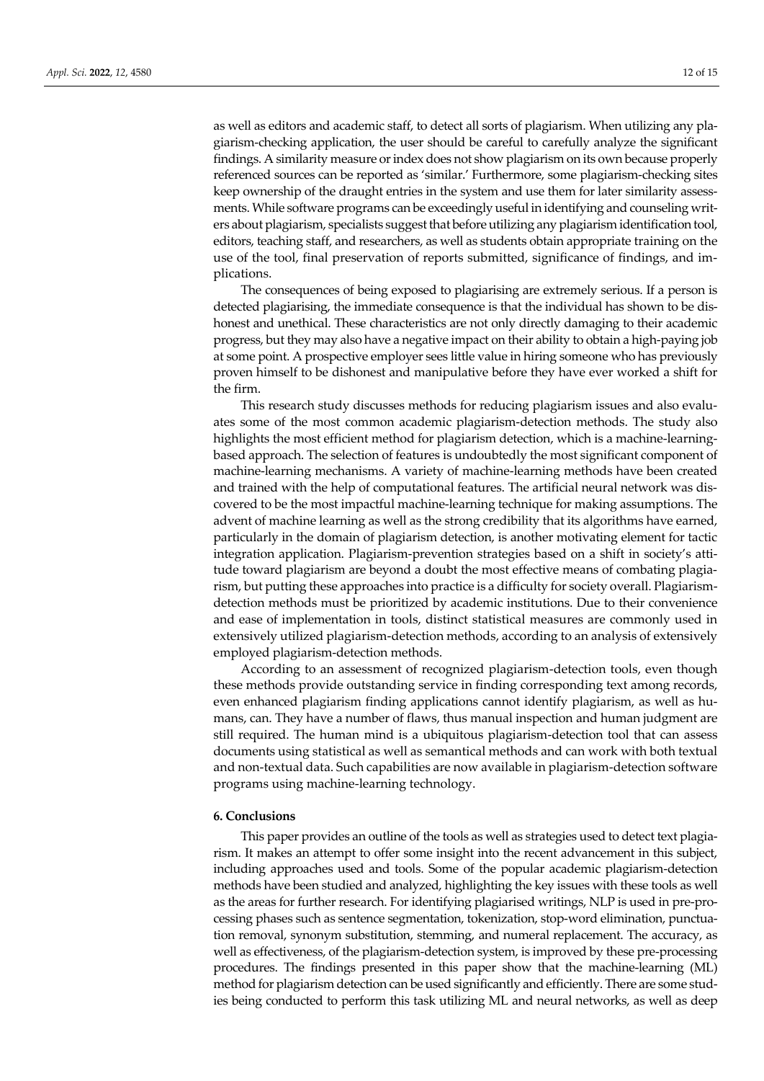as well as editors and academic staff, to detect all sorts of plagiarism. When utilizing any plagiarism-checking application, the user should be careful to carefully analyze the significant findings. A similarity measure or index does not show plagiarism on its own because properly referenced sources can be reported as 'similar.' Furthermore, some plagiarism-checking sites keep ownership of the draught entries in the system and use them for later similarity assessments. While software programs can be exceedingly useful in identifying and counseling writers about plagiarism, specialists suggest that before utilizing any plagiarism identification tool, editors, teaching staff, and researchers, as well as students obtain appropriate training on the use of the tool, final preservation of reports submitted, significance of findings, and implications.

The consequences of being exposed to plagiarising are extremely serious. If a person is detected plagiarising, the immediate consequence is that the individual has shown to be dishonest and unethical. These characteristics are not only directly damaging to their academic progress, but they may also have a negative impact on their ability to obtain a high-paying job at some point. A prospective employer sees little value in hiring someone who has previously proven himself to be dishonest and manipulative before they have ever worked a shift for the firm.

This research study discusses methods for reducing plagiarism issues and also evaluates some of the most common academic plagiarism-detection methods. The study also highlights the most efficient method for plagiarism detection, which is a machine-learningbased approach. The selection of features is undoubtedly the most significant component of machine-learning mechanisms. A variety of machine-learning methods have been created and trained with the help of computational features. The artificial neural network was discovered to be the most impactful machine-learning technique for making assumptions. The advent of machine learning as well as the strong credibility that its algorithms have earned, particularly in the domain of plagiarism detection, is another motivating element for tactic integration application. Plagiarism-prevention strategies based on a shift in society's attitude toward plagiarism are beyond a doubt the most effective means of combating plagiarism, but putting these approaches into practice is a difficulty for society overall. Plagiarismdetection methods must be prioritized by academic institutions. Due to their convenience and ease of implementation in tools, distinct statistical measures are commonly used in extensively utilized plagiarism-detection methods, according to an analysis of extensively employed plagiarism-detection methods.

According to an assessment of recognized plagiarism-detection tools, even though these methods provide outstanding service in finding corresponding text among records, even enhanced plagiarism finding applications cannot identify plagiarism, as well as humans, can. They have a number of flaws, thus manual inspection and human judgment are still required. The human mind is a ubiquitous plagiarism-detection tool that can assess documents using statistical as well as semantical methods and can work with both textual and non-textual data. Such capabilities are now available in plagiarism-detection software programs using machine-learning technology.

## **6. Conclusions**

This paper provides an outline of the tools as well as strategies used to detect text plagiarism. It makes an attempt to offer some insight into the recent advancement in this subject, including approaches used and tools. Some of the popular academic plagiarism-detection methods have been studied and analyzed, highlighting the key issues with these tools as well as the areas for further research. For identifying plagiarised writings, NLP is used in pre-processing phases such as sentence segmentation, tokenization, stop-word elimination, punctuation removal, synonym substitution, stemming, and numeral replacement. The accuracy, as well as effectiveness, of the plagiarism-detection system, is improved by these pre-processing procedures. The findings presented in this paper show that the machine-learning (ML) method for plagiarism detection can be used significantly and efficiently. There are some studies being conducted to perform this task utilizing ML and neural networks, as well as deep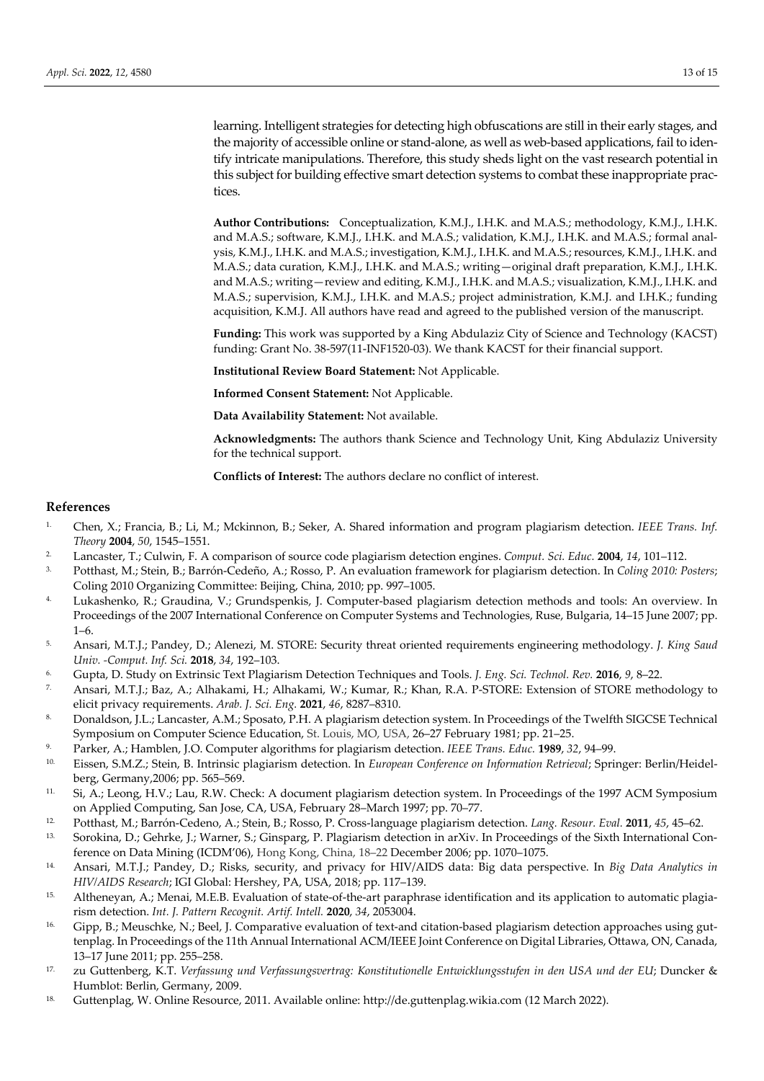learning. Intelligent strategies for detecting high obfuscations are still in their early stages, and the majority of accessible online or stand-alone, as well as web-based applications, fail to identify intricate manipulations. Therefore, this study sheds light on the vast research potential in this subject for building effective smart detection systems to combat these inappropriate practices.

**Author Contributions:** Conceptualization, K.M.J., I.H.K. and M.A.S.; methodology, K.M.J., I.H.K. and M.A.S.; software, K.M.J., I.H.K. and M.A.S.; validation, K.M.J., I.H.K. and M.A.S.; formal analysis, K.M.J., I.H.K. and M.A.S.; investigation, K.M.J., I.H.K. and M.A.S.; resources, K.M.J., I.H.K. and M.A.S.; data curation, K.M.J., I.H.K. and M.A.S.; writing—original draft preparation, K.M.J., I.H.K. and M.A.S.; writing—review and editing, K.M.J., I.H.K. and M.A.S.; visualization, K.M.J., I.H.K. and M.A.S.; supervision, K.M.J., I.H.K. and M.A.S.; project administration, K.M.J. and I.H.K.; funding acquisition, K.M.J. All authors have read and agreed to the published version of the manuscript.

**Funding:** This work was supported by a King Abdulaziz City of Science and Technology (KACST) funding: Grant No. 38-597(11-INF1520-03). We thank KACST for their financial support.

**Institutional Review Board Statement:** Not Applicable.

**Informed Consent Statement:** Not Applicable.

**Data Availability Statement:** Not available.

**Acknowledgments:** The authors thank Science and Technology Unit, King Abdulaziz University for the technical support.

**Conflicts of Interest:** The authors declare no conflict of interest.

#### **References**

- 1. Chen, X.; Francia, B.; Li, M.; Mckinnon, B.; Seker, A. Shared information and program plagiarism detection. *IEEE Trans. Inf. Theory* **2004**, *50*, 1545–1551.
- 2. Lancaster, T.; Culwin, F. A comparison of source code plagiarism detection engines. *Comput. Sci. Educ.* **2004**, *14*, 101–112.
- 3. Potthast, M.; Stein, B.; Barrón-Cedeño, A.; Rosso, P. An evaluation framework for plagiarism detection. In *Coling 2010: Posters*; Coling 2010 Organizing Committee: Beijing, China, 2010; pp. 997–1005.
- 4. Lukashenko, R.; Graudina, V.; Grundspenkis, J. Computer-based plagiarism detection methods and tools: An overview. In Proceedings of the 2007 International Conference on Computer Systems and Technologies, Ruse, Bulgaria, 14–15 June 2007; pp. 1–6.
- 5. Ansari, M.T.J.; Pandey, D.; Alenezi, M. STORE: Security threat oriented requirements engineering methodology. *J. King Saud Univ. -Comput. Inf. Sci.* **2018**, *34*, 192–103.
- 6. Gupta, D. Study on Extrinsic Text Plagiarism Detection Techniques and Tools. *J. Eng. Sci. Technol. Rev.* **2016**, *9*, 8–22.
- 7. Ansari, M.T.J.; Baz, A.; Alhakami, H.; Alhakami, W.; Kumar, R.; Khan, R.A. P-STORE: Extension of STORE methodology to elicit privacy requirements. *Arab. J. Sci. Eng.* **2021**, *46*, 8287–8310.
- 8. Donaldson, J.L.; Lancaster, A.M.; Sposato, P.H. A plagiarism detection system. In Proceedings of the Twelfth SIGCSE Technical Symposium on Computer Science Education, St. Louis, MO, USA, 26–27 February 1981; pp. 21–25.
- 9. Parker, A.; Hamblen, J.O. Computer algorithms for plagiarism detection. *IEEE Trans. Educ.* **1989**, *32*, 94–99.
- 10. Eissen, S.M.Z.; Stein, B. Intrinsic plagiarism detection. In *European Conference on Information Retrieval*; Springer: Berlin/Heidelberg, Germany,2006; pp. 565–569.
- 11. Si, A.; Leong, H.V.; Lau, R.W. Check: A document plagiarism detection system. In Proceedings of the 1997 ACM Symposium on Applied Computing, San Jose, CA, USA, February 28–March 1997; pp. 70–77.
- 12. Potthast, M.; Barrón-Cedeno, A.; Stein, B.; Rosso, P. Cross-language plagiarism detection. *Lang. Resour. Eval.* **2011**, *45*, 45–62.
- 13. Sorokina, D.; Gehrke, J.; Warner, S.; Ginsparg, P. Plagiarism detection in arXiv. In Proceedings of the Sixth International Conference on Data Mining (ICDM'06), Hong Kong, China, 18–22 December 2006; pp. 1070–1075.
- 14. Ansari, M.T.J.; Pandey, D.; Risks, security, and privacy for HIV/AIDS data: Big data perspective. In *Big Data Analytics in HIV/AIDS Research*; IGI Global: Hershey, PA, USA, 2018; pp. 117–139.
- 15. Altheneyan, A.; Menai, M.E.B. Evaluation of state-of-the-art paraphrase identification and its application to automatic plagiarism detection. *Int. J. Pattern Recognit. Artif. Intell.* **2020**, *34*, 2053004.
- 16. Gipp, B.; Meuschke, N.; Beel, J. Comparative evaluation of text-and citation-based plagiarism detection approaches using guttenplag. In Proceedings of the 11th Annual International ACM/IEEE Joint Conference on Digital Libraries, Ottawa, ON, Canada, 13–17 June 2011; pp. 255–258.
- 17. zu Guttenberg, K.T. *Verfassung und Verfassungsvertrag: Konstitutionelle Entwicklungsstufen in den USA und der EU*; Duncker & Humblot: Berlin, Germany, 2009.
- 18. Guttenplag, W. Online Resource, 2011. Available online: http://de.guttenplag.wikia.com (12 March 2022).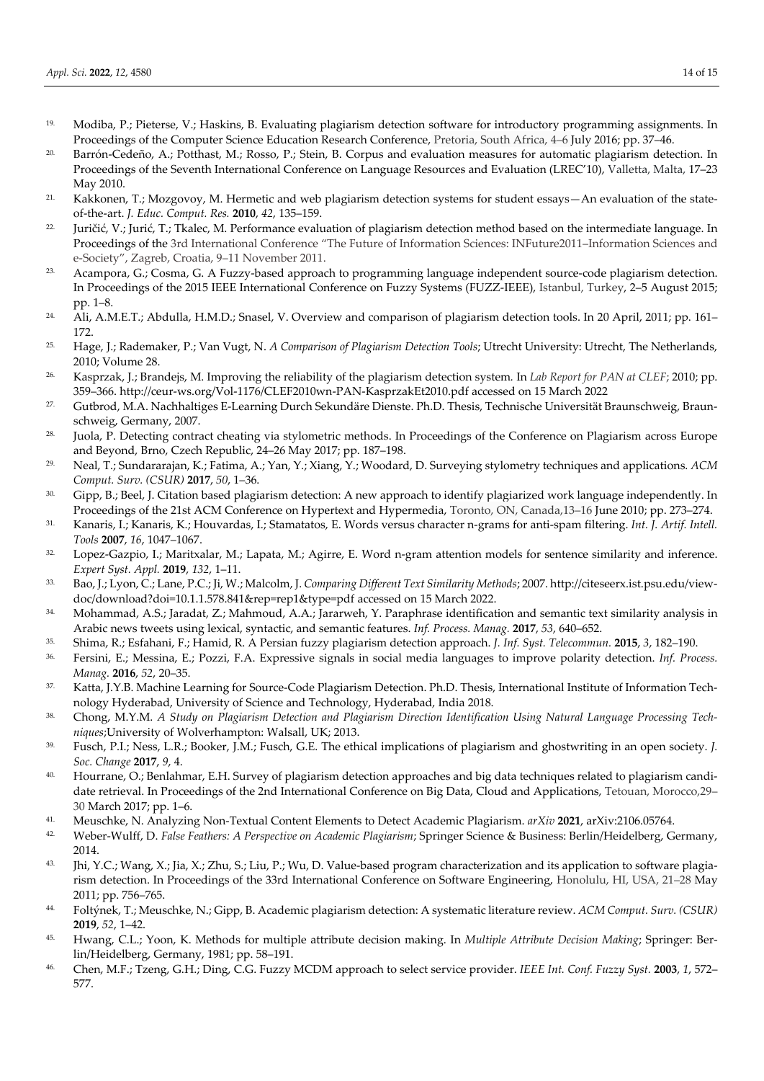- 19. Modiba, P.; Pieterse, V.; Haskins, B. Evaluating plagiarism detection software for introductory programming assignments. In Proceedings of the Computer Science Education Research Conference, Pretoria, South Africa, 4–6 July 2016; pp. 37–46.
- 20. Barrón-Cedeño, A.; Potthast, M.; Rosso, P.; Stein, B. Corpus and evaluation measures for automatic plagiarism detection. In Proceedings of the Seventh International Conference on Language Resources and Evaluation (LREC'10), Valletta, Malta, 17–23 May 2010.
- 21. Kakkonen, T.; Mozgovoy, M. Hermetic and web plagiarism detection systems for student essays—An evaluation of the stateof-the-art. *J. Educ. Comput. Res.* **2010**, *42*, 135–159.
- <sup>22.</sup> Juričić, V.; Jurić, T.; Tkalec, M. Performance evaluation of plagiarism detection method based on the intermediate language. In Proceedings of the 3rd International Conference "The Future of Information Sciences: INFuture2011–Information Sciences and e-Society", Zagreb, Croatia, 9–11 November 2011.
- 23. Acampora, G.; Cosma, G. A Fuzzy-based approach to programming language independent source-code plagiarism detection. In Proceedings of the 2015 IEEE International Conference on Fuzzy Systems (FUZZ-IEEE), Istanbul, Turkey, 2–5 August 2015; pp. 1–8.
- <sup>24.</sup> Ali, A.M.E.T.; Abdulla, H.M.D.; Snasel, V. Overview and comparison of plagiarism detection tools. In 20 April, 2011; pp. 161– 172.
- 25. Hage, J.; Rademaker, P.; Van Vugt, N. *A Comparison of Plagiarism Detection Tools*; Utrecht University: Utrecht, The Netherlands, 2010; Volume 28.
- 26. Kasprzak, J.; Brandejs, M. Improving the reliability of the plagiarism detection system*.* In *Lab Report for PAN at CLEF*; 2010; pp. 359–366. http://ceur-ws.org/Vol-1176/CLEF2010wn-PAN-KasprzakEt2010.pdf accessed on 15 March 2022
- 27. Gutbrod, M.A. Nachhaltiges E-Learning Durch Sekundäre Dienste. Ph.D. Thesis, Technische Universität Braunschweig, Braunschweig, Germany, 2007.
- 28. Juola, P. Detecting contract cheating via stylometric methods. In Proceedings of the Conference on Plagiarism across Europe and Beyond, Brno, Czech Republic, 24–26 May 2017; pp. 187–198.
- 29. Neal, T.; Sundararajan, K.; Fatima, A.; Yan, Y.; Xiang, Y.; Woodard, D. Surveying stylometry techniques and applications. *ACM Comput. Surv. (CSUR)* **2017**, *50*, 1–36.
- 30. Gipp, B.; Beel, J. Citation based plagiarism detection: A new approach to identify plagiarized work language independently. In Proceedings of the 21st ACM Conference on Hypertext and Hypermedia, Toronto, ON, Canada,13–16 June 2010; pp. 273–274.
- 31. Kanaris, I.; Kanaris, K.; Houvardas, I.; Stamatatos, E. Words versus character n-grams for anti-spam filtering. *Int. J. Artif. Intell. Tools* **2007**, *16*, 1047–1067.
- 32. Lopez-Gazpio, I.; Maritxalar, M.; Lapata, M.; Agirre, E. Word n-gram attention models for sentence similarity and inference. *Expert Syst. Appl.* **2019**, *132*, 1–11.
- 33. Bao, J.; Lyon, C.; Lane, P.C.; Ji, W.; Malcolm, J. *Comparing Different Text Similarity Methods*; 2007. http://citeseerx.ist.psu.edu/viewdoc/download?doi=10.1.1.578.841&rep=rep1&type=pdf accessed on 15 March 2022.
- 34. Mohammad, A.S.; Jaradat, Z.; Mahmoud, A.A.; Jararweh, Y. Paraphrase identification and semantic text similarity analysis in Arabic news tweets using lexical, syntactic, and semantic features. *Inf. Process. Manag.* **2017**, *53*, 640–652.
- 35. Shima, R.; Esfahani, F.; Hamid, R. A Persian fuzzy plagiarism detection approach. *J. Inf. Syst. Telecommun.* **2015**, *3*, 182–190.
- 36. Fersini, E.; Messina, E.; Pozzi, F.A. Expressive signals in social media languages to improve polarity detection. *Inf. Process. Manag.* **2016**, *52*, 20–35.
- 37. Katta, J.Y.B. Machine Learning for Source-Code Plagiarism Detection. Ph.D. Thesis, International Institute of Information Technology Hyderabad, University of Science and Technology, Hyderabad, India 2018.
- 38. Chong, M.Y.M. *A Study on Plagiarism Detection and Plagiarism Direction Identification Using Natural Language Processing Techniques*;University of Wolverhampton: Walsall, UK; 2013.
- 39. Fusch, P.I.; Ness, L.R.; Booker, J.M.; Fusch, G.E. The ethical implications of plagiarism and ghostwriting in an open society. *J. Soc. Change* **2017**, *9*, 4.
- 40. Hourrane, O.; Benlahmar, E.H. Survey of plagiarism detection approaches and big data techniques related to plagiarism candidate retrieval. In Proceedings of the 2nd International Conference on Big Data, Cloud and Applications, Tetouan, Morocco,29– 30 March 2017; pp. 1–6.
- 41. Meuschke, N. Analyzing Non-Textual Content Elements to Detect Academic Plagiarism. *arXiv* **2021**, arXiv:2106.05764.
- 42. Weber-Wulff, D. *False Feathers: A Perspective on Academic Plagiarism*; Springer Science & Business: Berlin/Heidelberg, Germany, 2014.
- 43. Jhi, Y.C.; Wang, X.; Jia, X.; Zhu, S.; Liu, P.; Wu, D. Value-based program characterization and its application to software plagiarism detection. In Proceedings of the 33rd International Conference on Software Engineering, Honolulu, HI, USA, 21–28 May 2011; pp. 756–765.
- 44. Foltýnek, T.; Meuschke, N.; Gipp, B. Academic plagiarism detection: A systematic literature review. *ACM Comput. Surv. (CSUR)*  **2019**, *52*, 1–42.
- 45. Hwang, C.L.; Yoon, K. Methods for multiple attribute decision making. In *Multiple Attribute Decision Making*; Springer: Berlin/Heidelberg, Germany, 1981; pp. 58–191.
- 46. Chen, M.F.; Tzeng, G.H.; Ding, C.G. Fuzzy MCDM approach to select service provider. *IEEE Int. Conf. Fuzzy Syst.* **2003**, *1*, 572– 577.